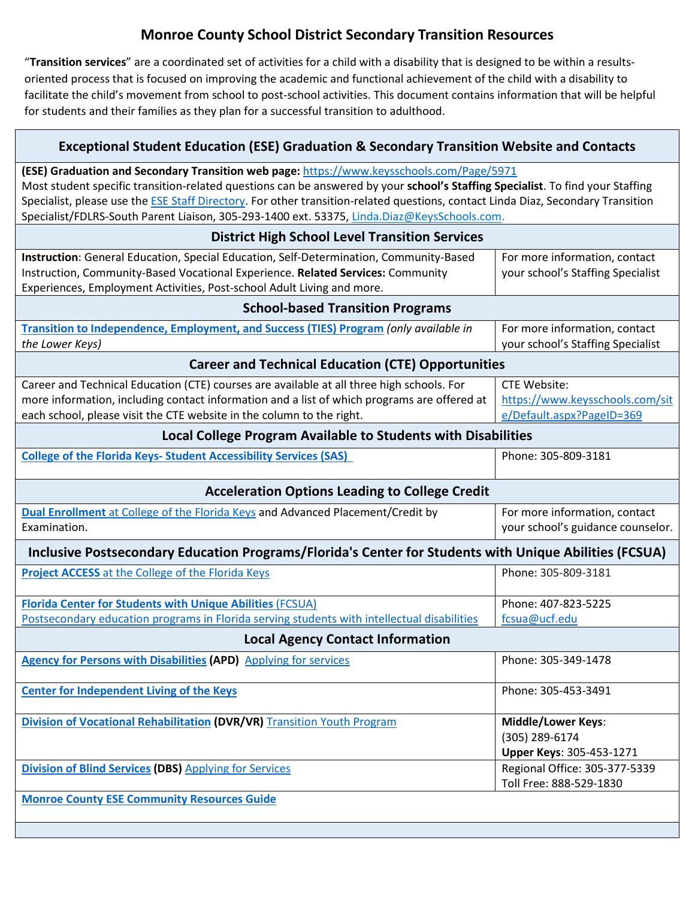## **Monroe County School District Secondary Transition Resources**

"**Transition services**" are a coordinated set of activities for a child with a disability that is designed to be within a resultsoriented process that is focused on improving the academic and functional achievement of the child with a disability to facilitate the child's movement from school to post-school activities. This document contains information that will be helpful for students and their families as they plan for a successful transition to adulthood.

┑

Г

| <b>Exceptional Student Education (ESE) Graduation &amp; Secondary Transition Website and Contacts</b>                                                                                                                                                                                                                                                                                                                                                          |                                                                                     |
|----------------------------------------------------------------------------------------------------------------------------------------------------------------------------------------------------------------------------------------------------------------------------------------------------------------------------------------------------------------------------------------------------------------------------------------------------------------|-------------------------------------------------------------------------------------|
| (ESE) Graduation and Secondary Transition web page: https://www.keysschools.com/Page/5971<br>Most student specific transition-related questions can be answered by your school's Staffing Specialist. To find your Staffing<br>Specialist, please use the ESE Staff Directory. For other transition-related questions, contact Linda Diaz, Secondary Transition<br>Specialist/FDLRS-South Parent Liaison, 305-293-1400 ext. 53375, Linda.Diaz@KeysSchools.com. |                                                                                     |
| <b>District High School Level Transition Services</b>                                                                                                                                                                                                                                                                                                                                                                                                          |                                                                                     |
| Instruction: General Education, Special Education, Self-Determination, Community-Based<br>Instruction, Community-Based Vocational Experience. Related Services: Community<br>Experiences, Employment Activities, Post-school Adult Living and more.                                                                                                                                                                                                            | For more information, contact<br>your school's Staffing Specialist                  |
| <b>School-based Transition Programs</b>                                                                                                                                                                                                                                                                                                                                                                                                                        |                                                                                     |
| Transition to Independence, Employment, and Success (TIES) Program (only available in<br>the Lower Keys)                                                                                                                                                                                                                                                                                                                                                       | For more information, contact<br>your school's Staffing Specialist                  |
| <b>Career and Technical Education (CTE) Opportunities</b>                                                                                                                                                                                                                                                                                                                                                                                                      |                                                                                     |
| Career and Technical Education (CTE) courses are available at all three high schools. For<br>more information, including contact information and a list of which programs are offered at<br>each school, please visit the CTE website in the column to the right.                                                                                                                                                                                              | <b>CTE Website:</b><br>https://www.keysschools.com/sit<br>e/Default.aspx?PageID=369 |
| Local College Program Available to Students with Disabilities                                                                                                                                                                                                                                                                                                                                                                                                  |                                                                                     |
| <b>College of the Florida Keys- Student Accessibility Services (SAS)</b>                                                                                                                                                                                                                                                                                                                                                                                       | Phone: 305-809-3181                                                                 |
| <b>Acceleration Options Leading to College Credit</b>                                                                                                                                                                                                                                                                                                                                                                                                          |                                                                                     |
| Dual Enrollment at College of the Florida Keys and Advanced Placement/Credit by<br>Examination.                                                                                                                                                                                                                                                                                                                                                                | For more information, contact<br>your school's guidance counselor.                  |
| Inclusive Postsecondary Education Programs/Florida's Center for Students with Unique Abilities (FCSUA)                                                                                                                                                                                                                                                                                                                                                         |                                                                                     |
| <b>Project ACCESS</b> at the College of the Florida Keys                                                                                                                                                                                                                                                                                                                                                                                                       | Phone: 305-809-3181                                                                 |
| <b>Florida Center for Students with Unique Abilities (FCSUA)</b><br>Postsecondary education programs in Florida serving students with intellectual disabilities                                                                                                                                                                                                                                                                                                | Phone: 407-823-5225<br>fcsua@ucf.edu                                                |
| <b>Local Agency Contact Information</b>                                                                                                                                                                                                                                                                                                                                                                                                                        |                                                                                     |
| <b>Agency for Persons with Disabilities (APD)</b> Applying for services                                                                                                                                                                                                                                                                                                                                                                                        | Phone: 305-349-1478                                                                 |
| <b>Center for Independent Living of the Keys</b>                                                                                                                                                                                                                                                                                                                                                                                                               | Phone: 305-453-3491                                                                 |
| <b>Division of Vocational Rehabilitation (DVR/VR)</b> Transition Youth Program                                                                                                                                                                                                                                                                                                                                                                                 | <b>Middle/Lower Keys:</b><br>(305) 289-6174<br>Upper Keys: 305-453-1271             |
| <b>Division of Blind Services (DBS)</b> Applying for Services                                                                                                                                                                                                                                                                                                                                                                                                  | Regional Office: 305-377-5339<br>Toll Free: 888-529-1830                            |
| <b>Monroe County ESE Community Resources Guide</b>                                                                                                                                                                                                                                                                                                                                                                                                             |                                                                                     |
|                                                                                                                                                                                                                                                                                                                                                                                                                                                                |                                                                                     |